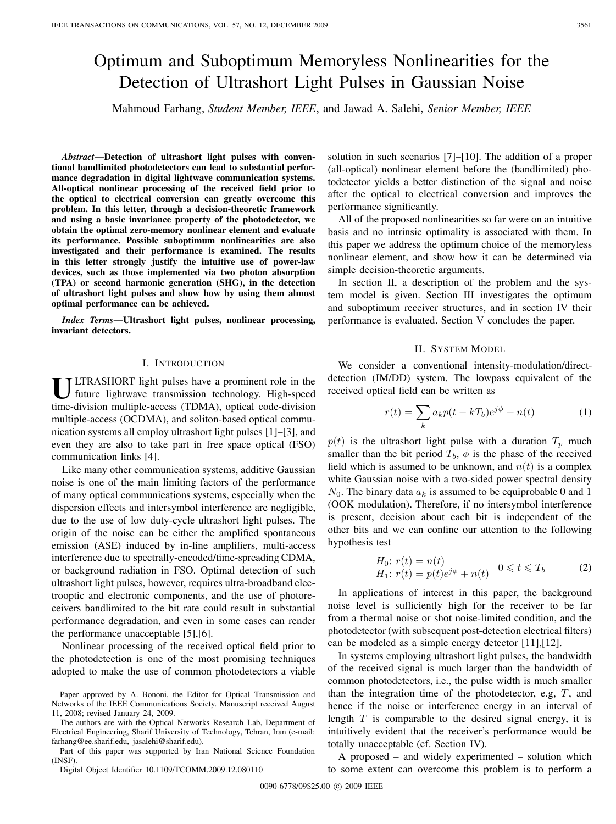# Optimum and Suboptimum Memoryless Nonlinearities for the Detection of Ultrashort Light Pulses in Gaussian Noise

Mahmoud Farhang, *Student Member, IEEE*, and Jawad A. Salehi, *Senior Member, IEEE*

*Abstract***—Detection of ultrashort light pulses with conventional bandlimited photodetectors can lead to substantial performance degradation in digital lightwave communication systems. All-optical nonlinear processing of the received field prior to the optical to electrical conversion can greatly overcome this problem. In this letter, through a decision-theoretic framework and using a basic invariance property of the photodetector, we obtain the optimal zero-memory nonlinear element and evaluate its performance. Possible suboptimum nonlinearities are also investigated and their performance is examined. The results in this letter strongly justify the intuitive use of power-law devices, such as those implemented via two photon absorption (TPA) or second harmonic generation (SHG), in the detection of ultrashort light pulses and show how by using them almost optimal performance can be achieved.**

*Index Terms***—Ultrashort light pulses, nonlinear processing, invariant detectors.**

## I. INTRODUCTION

**TLTRASHORT** light pulses have a prominent role in the future lightwave transmission technology. High-speed time-division multiple-access (TDMA), optical code-division multiple-access (OCDMA), and soliton-based optical communication systems all employ ultrashort light pulses [1]–[3], and even they are also to take part in free space optical (FSO) communication links [4].

Like many other communication systems, additive Gaussian noise is one of the main limiting factors of the performance of many optical communications systems, especially when the dispersion effects and intersymbol interference are negligible, due to the use of low duty-cycle ultrashort light pulses. The origin of the noise can be either the amplified spontaneous emission (ASE) induced by in-line amplifiers, multi-access interference due to spectrally-encoded/time-spreading CDMA, or background radiation in FSO. Optimal detection of such ultrashort light pulses, however, requires ultra-broadband electrooptic and electronic components, and the use of photoreceivers bandlimited to the bit rate could result in substantial performance degradation, and even in some cases can render the performance unacceptable [5],[6].

Nonlinear processing of the received optical field prior to the photodetection is one of the most promising techniques adopted to make the use of common photodetectors a viable

The authors are with the Optical Networks Research Lab, Department of Electrical Engineering, Sharif University of Technology, Tehran, Iran (e-mail: farhang@ee.sharif.edu, jasalehi@sharif.edu).

Part of this paper was supported by Iran National Science Foundation (INSF).

Digital Object Identifier 10.1109/TCOMM.2009.12.080110

solution in such scenarios [7]–[10]. The addition of a proper (all-optical) nonlinear element before the (bandlimited) photodetector yields a better distinction of the signal and noise after the optical to electrical conversion and improves the performance significantly.

All of the proposed nonlinearities so far were on an intuitive basis and no intrinsic optimality is associated with them. In this paper we address the optimum choice of the memoryless nonlinear element, and show how it can be determined via simple decision-theoretic arguments.

In section II, a description of the problem and the system model is given. Section III investigates the optimum and suboptimum receiver structures, and in section IV their performance is evaluated. Section V concludes the paper.

### II. SYSTEM MODEL

We consider a conventional intensity-modulation/directdetection (IM/DD) system. The lowpass equivalent of the received optical field can be written as

$$
r(t) = \sum_{k} a_k p(t - kT_b)e^{j\phi} + n(t)
$$
 (1)

 $p(t)$  is the ultrashort light pulse with a duration  $T_p$  much smaller than the bit period  $T_b$ ,  $\phi$  is the phase of the received field which is assumed to be unknown, and  $n(t)$  is a complex white Gaussian noise with a two-sided power spectral density  $N_0$ . The binary data  $a_k$  is assumed to be equiprobable 0 and 1 (OOK modulation). Therefore, if no intersymbol interference is present, decision about each bit is independent of the other bits and we can confine our attention to the following hypothesis test

$$
H_0: r(t) = n(t)
$$
  
\n
$$
H_1: r(t) = p(t)e^{j\phi} + n(t) \quad 0 \le t \le T_b
$$
 (2)

In applications of interest in this paper, the background noise level is sufficiently high for the receiver to be far from a thermal noise or shot noise-limited condition, and the photodetector (with subsequent post-detection electrical filters) can be modeled as a simple energy detector [11],[12].

In systems employing ultrashort light pulses, the bandwidth of the received signal is much larger than the bandwidth of common photodetectors, i.e., the pulse width is much smaller than the integration time of the photodetector, e.g,  $T$ , and hence if the noise or interference energy in an interval of length  $T$  is comparable to the desired signal energy, it is intuitively evident that the receiver's performance would be totally unacceptable (cf. Section IV).

A proposed – and widely experimented – solution which to some extent can overcome this problem is to perform a

Paper approved by A. Bononi, the Editor for Optical Transmission and Networks of the IEEE Communications Society. Manuscript received August 11, 2008; revised January 24, 2009.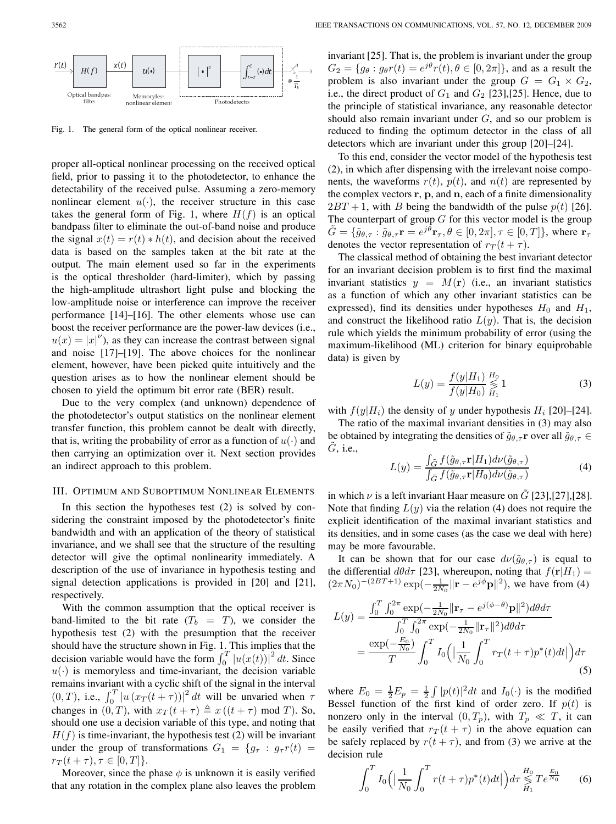

Fig. 1. The general form of the optical nonlinear receiver.

proper all-optical nonlinear processing on the received optical field, prior to passing it to the photodetector, to enhance the detectability of the received pulse. Assuming a zero-memory nonlinear element  $u(\cdot)$ , the receiver structure in this case takes the general form of Fig. 1, where  $H(f)$  is an optical bandpass filter to eliminate the out-of-band noise and produce the signal  $x(t) = r(t) * h(t)$ , and decision about the received data is based on the samples taken at the bit rate at the output. The main element used so far in the experiments is the optical thresholder (hard-limiter), which by passing the high-amplitude ultrashort light pulse and blocking the low-amplitude noise or interference can improve the receiver performance [14]–[16]. The other elements whose use can boost the receiver performance are the power-law devices (i.e.,  $u(x) = |x|^{\nu}$ , as they can increase the contrast between signal and noise [17]–[19]. The above choices for the nonlinear element, however, have been picked quite intuitively and the question arises as to how the nonlinear element should be chosen to yield the optimum bit error rate (BER) result.

Due to the very complex (and unknown) dependence of the photodetector's output statistics on the nonlinear element transfer function, this problem cannot be dealt with directly, that is, writing the probability of error as a function of  $u(\cdot)$  and then carrying an optimization over it. Next section provides an indirect approach to this problem.

## III. OPTIMUM AND SUBOPTIMUM NONLINEAR ELEMENTS

In this section the hypotheses test  $(2)$  is solved by considering the constraint imposed by the photodetector's finite bandwidth and with an application of the theory of statistical invariance, and we shall see that the structure of the resulting detector will give the optimal nonlinearity immediately. A description of the use of invariance in hypothesis testing and signal detection applications is provided in [20] and [21], respectively.

With the common assumption that the optical receiver is band-limited to the bit rate  $(T_b = T)$ , we consider the hypothesis test (2) with the presumption that the receiver should have the structure shown in Fig. 1. This implies that the decision variable would have the form  $\int_0^T |u(x(t))|^2 dt$ . Since  $u(\cdot)$  is memoryless and time-invariant, the decision variable remains invariant with a cyclic shift of the signal in the interval  $(0, T)$ , i.e.,  $\int_0^T |u(x_T(t+\tau))|^2 dt$  will be unvaried when  $\tau$ changes in  $(0, T)$ , with  $x_T(t + \tau) \triangleq x((t + \tau) \mod T)$ . So, should one use a decision variable of this type, and noting that  $H(f)$  is time-invariant, the hypothesis test (2) will be invariant under the group of transformations  $G_1 = \{ g_\tau : g_\tau r(t) =$  $r_T(t + \tau), \tau \in [0, T]$ .

Moreover, since the phase  $\phi$  is unknown it is easily verified that any rotation in the complex plane also leaves the problem

invariant [25]. That is, the problem is invariant under the group  $G_2 = \{ g_\theta : g_\theta r(t) = e^{j\theta} r(t), \theta \in [0, 2\pi] \}$ , and as a result the problem is also invariant under the group  $G = G_1 \times G_2$ , i.e., the direct product of  $G_1$  and  $G_2$  [23],[25]. Hence, due to the principle of statistical invariance, any reasonable detector should also remain invariant under  $G$ , and so our problem is reduced to finding the optimum detector in the class of all detectors which are invariant under this group [20]–[24].

To this end, consider the vector model of the hypothesis test (2), in which after dispensing with the irrelevant noise components, the waveforms  $r(t)$ ,  $p(t)$ , and  $n(t)$  are represented by the complex vectors **r**, **p**, and **n**, each of a finite dimensionality  $2BT + 1$ , with B being the bandwidth of the pulse  $p(t)$  [26]. The counterpart of group  $G$  for this vector model is the group  $\tilde{G} = \{\tilde{g}_{\theta,\tau} : \tilde{g}_{\theta,\tau} \mathbf{r} = e^{j\theta} \mathbf{r}_{\tau}, \theta \in [0, 2\pi], \tau \in [0, T]\},\$  where  $\mathbf{r}_{\tau}$ denotes the vector representation of  $r_T(t + \tau)$ .

The classical method of obtaining the best invariant detector for an invariant decision problem is to first find the maximal invariant statistics  $y = M(r)$  (i.e., an invariant statistics as a function of which any other invariant statistics can be expressed), find its densities under hypotheses  $H_0$  and  $H_1$ , and construct the likelihood ratio  $L(y)$ . That is, the decision rule which yields the minimum probability of error (using the maximum-likelihood (ML) criterion for binary equiprobable data) is given by

$$
L(y) = \frac{f(y|H_1)}{f(y|H_0)} \mathop{\lessgtr}\limits_{H_1}^{H_0} 1
$$
 (3)

with  $f(y|H_i)$  the density of y under hypothesis  $H_i$  [20]–[24].

The ratio of the maximal invariant densities in (3) may also be obtained by integrating the densities of  $\tilde{g}_{\theta,\tau}$ **r** over all  $\tilde{g}_{\theta,\tau} \in$  $\ddot{G}$ , i.e.,

$$
L(y) = \frac{\int_{\tilde{G}} f(\tilde{g}_{\theta,\tau} \mathbf{r}|H_1) d\nu(\tilde{g}_{\theta,\tau})}{\int_{\tilde{G}} f(\tilde{g}_{\theta,\tau} \mathbf{r}|H_0) d\nu(\tilde{g}_{\theta,\tau})}
$$
(4)

in which  $\nu$  is a left invariant Haar measure on  $\tilde{G}$  [23],[27],[28]. Note that finding  $L(y)$  via the relation (4) does not require the explicit identification of the maximal invariant statistics and its densities, and in some cases (as the case we deal with here) may be more favourable.

It can be shown that for our case  $d\nu(\tilde{g}_{\theta,\tau})$  is equal to the differential  $d\theta d\tau$  [23], whereupon, noting that  $f(\mathbf{r}|H_1)$  =  $(2\pi N_0)^{-(2BT+1)} \exp(-\frac{1}{2N_0} ||\mathbf{r} - e^{j\phi} \mathbf{p}||^2)$ , we have from (4)

$$
L(y) = \frac{\int_0^T \int_0^{2\pi} \exp(-\frac{1}{2N_0} ||\mathbf{r}_{\tau} - e^{j(\phi - \theta)} \mathbf{p}||^2) d\theta d\tau}{\int_0^T \int_0^{2\pi} \exp(-\frac{1}{2N_0} ||\mathbf{r}_{\tau}||^2) d\theta d\tau}
$$
  
= 
$$
\frac{\exp(-\frac{E_0}{N_0})}{T} \int_0^T I_0 \left( \left| \frac{1}{N_0} \int_0^T r_T(t + \tau) p^*(t) dt \right| \right) d\tau
$$
(5)

where  $E_0 = \frac{1}{2} E_p = \frac{1}{2} \int |p(t)|^2 dt$  and  $I_0(\cdot)$  is the modified Bessel function of the first kind of order zero. If  $p(t)$  is nonzero only in the interval  $(0, T_p)$ , with  $T_p \ll T$ , it can be easily verified that  $r_T(t + \tau)$  in the above equation can be safely replaced by  $r(t + \tau)$ , and from (3) we arrive at the decision rule

$$
\int_0^T I_0 \Big( \Big| \frac{1}{N_0} \int_0^T r(t+\tau) p^*(t) dt \Big| \Big) d\tau \sum_{H_1}^{H_0} T e^{\frac{E_0}{N_0}} \tag{6}
$$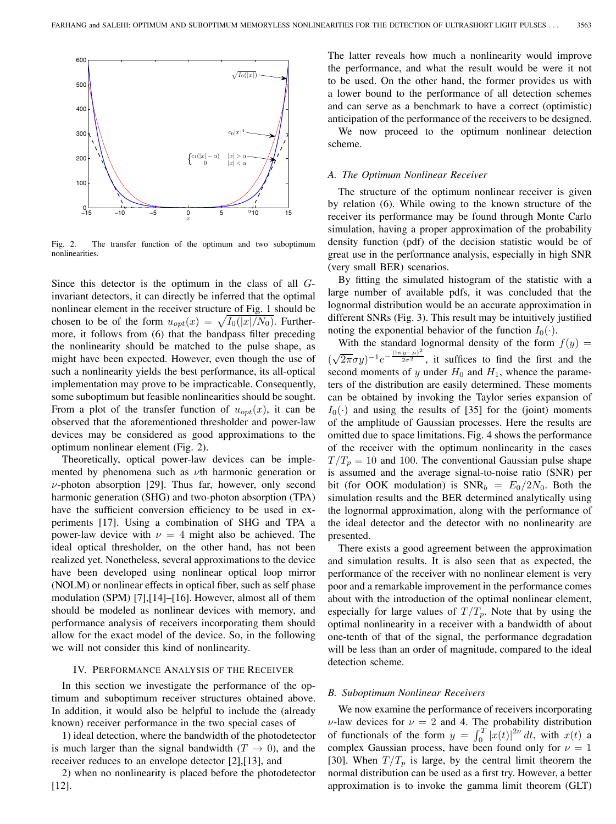

Fig. 2. The transfer function of the optimum and two suboptimum nonlinearities.

Since this detector is the optimum in the class of all  $G$ invariant detectors, it can directly be inferred that the optimal nonlinear element in the receiver structure of Fig. 1 should be chosen to be of the form  $u_{opt}(x) = \sqrt{I_0(|x|/N_0)}$ . Furthermore, it follows from (6) that the bandpass filter preceding the nonlinearity should be matched to the pulse shape, as might have been expected. However, even though the use of such a nonlinearity yields the best performance, its all-optical implementation may prove to be impracticable. Consequently, some suboptimum but feasible nonlinearities should be sought. From a plot of the transfer function of  $u_{opt}(x)$ , it can be observed that the aforementioned thresholder and power-law devices may be considered as good approximations to the optimum nonlinear element (Fig. 2).

Theoretically, optical power-law devices can be implemented by phenomena such as  $\nu$ th harmonic generation or  $\nu$ -photon absorption [29]. Thus far, however, only second harmonic generation (SHG) and two-photon absorption (TPA) have the sufficient conversion efficiency to be used in experiments [17]. Using a combination of SHG and TPA a power-law device with  $\nu = 4$  might also be achieved. The ideal optical thresholder, on the other hand, has not been realized yet. Nonetheless, several approximations to the device have been developed using nonlinear optical loop mirror (NOLM) or nonlinear effects in optical fiber, such as self phase modulation (SPM) [7],[14]–[16]. However, almost all of them should be modeled as nonlinear devices with memory, and performance analysis of receivers incorporating them should allow for the exact model of the device. So, in the following we will not consider this kind of nonlinearity.

## IV. PERFORMANCE ANALYSIS OF THE RECEIVER

In this section we investigate the performance of the optimum and suboptimum receiver structures obtained above. In addition, it would also be helpful to include the (already known) receiver performance in the two special cases of

1) ideal detection, where the bandwidth of the photodetector is much larger than the signal bandwidth ( $T \rightarrow 0$ ), and the receiver reduces to an envelope detector [2],[13], and

2) when no nonlinearity is placed before the photodetector [12].

The latter reveals how much a nonlinearity would improve the performance, and what the result would be were it not to be used. On the other hand, the former provides us with a lower bound to the performance of all detection schemes and can serve as a benchmark to have a correct (optimistic) anticipation of the performance of the receivers to be designed.

We now proceed to the optimum nonlinear detection scheme.

### *A. The Optimum Nonlinear Receiver*

The structure of the optimum nonlinear receiver is given by relation (6). While owing to the known structure of the receiver its performance may be found through Monte Carlo simulation, having a proper approximation of the probability density function (pdf) of the decision statistic would be of great use in the performance analysis, especially in high SNR (very small BER) scenarios.

By fitting the simulated histogram of the statistic with a large number of available pdfs, it was concluded that the lognormal distribution would be an accurate approximation in different SNRs (Fig. 3). This result may be intuitively justified noting the exponential behavior of the function  $I_0(\cdot)$ .

With the standard lognormal density of the form  $f(y) =$  $(\sqrt{2\pi}\sigma y)^{-1}e^{-\frac{(\ln y-\mu)^2}{2\sigma^2}}$ , it suffices to find the first and the second moments of y under  $H_0$  and  $H_1$ , whence the parameters of the distribution are easily determined. These moments can be obtained by invoking the Taylor series expansion of  $I_0(\cdot)$  and using the results of [35] for the (joint) moments of the amplitude of Gaussian processes. Here the results are omitted due to space limitations. Fig. 4 shows the performance of the receiver with the optimum nonlinearity in the cases  $T/T_p = 10$  and 100. The conventional Gaussian pulse shape is assumed and the average signal-to-noise ratio (SNR) per bit (for OOK modulation) is  $SNR<sub>b</sub> = E_0/2N_0$ . Both the simulation results and the BER determined analytically using the lognormal approximation, along with the performance of the ideal detector and the detector with no nonlinearity are presented.

There exists a good agreement between the approximation and simulation results. It is also seen that as expected, the performance of the receiver with no nonlinear element is very poor and a remarkable improvement in the performance comes about with the introduction of the optimal nonlinear element, especially for large values of  $T/T_p$ . Note that by using the optimal nonlinearity in a receiver with a bandwidth of about one-tenth of that of the signal, the performance degradation will be less than an order of magnitude, compared to the ideal detection scheme.

## *B. Suboptimum Nonlinear Receivers*

We now examine the performance of receivers incorporating  $\nu$ -law devices for  $\nu = 2$  and 4. The probability distribution of functionals of the form  $y = \int_0^T |x(t)|^{2\nu} dt$ , with  $x(t)$  a complex Gaussian process, have been found only for  $\nu = 1$ [30]. When  $T/T_p$  is large, by the central limit theorem the normal distribution can be used as a first try. However, a better approximation is to invoke the gamma limit theorem (GLT)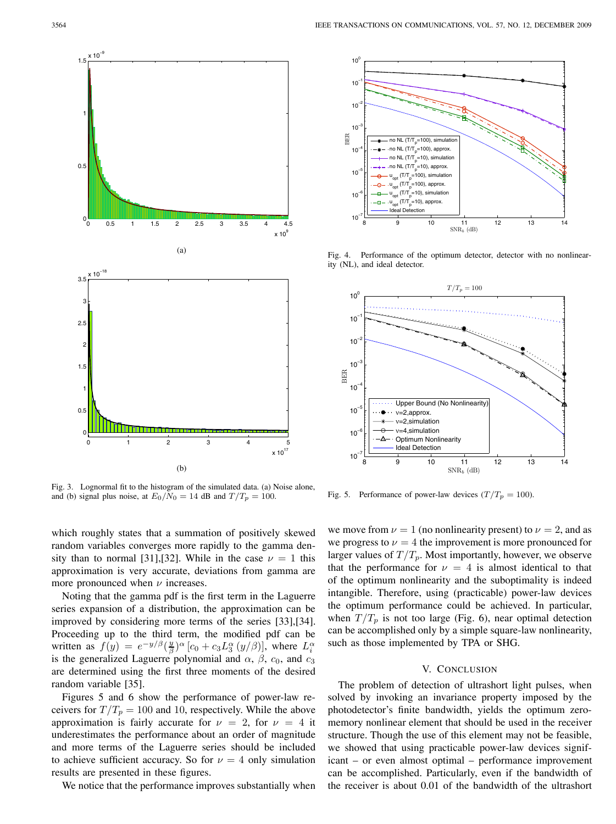

Fig. 3. Lognormal fit to the histogram of the simulated data. (a) Noise alone, and (b) signal plus noise, at  $E_0/N_0 = 14$  dB and  $T/T_p = 100$ .

which roughly states that a summation of positively skewed random variables converges more rapidly to the gamma density than to normal [31],[32]. While in the case  $\nu = 1$  this approximation is very accurate, deviations from gamma are more pronounced when  $\nu$  increases.

Noting that the gamma pdf is the first term in the Laguerre series expansion of a distribution, the approximation can be improved by considering more terms of the series [33],[34]. Proceeding up to the third term, the modified pdf can be written as  $f(y) = e^{-y/\beta}(\frac{y}{\beta})^{\alpha} [c_0 + c_3 L_3^{\alpha} (y/\beta)],$  where  $L_i^{\alpha}$ is the generalized Laguerre polynomial and  $\alpha$ ,  $\beta$ ,  $c_0$ , and  $c_3$ are determined using the first three moments of the desired random variable [35].

Figures 5 and 6 show the performance of power-law receivers for  $T/T_p = 100$  and 10, respectively. While the above approximation is fairly accurate for  $\nu = 2$ , for  $\nu = 4$  it underestimates the performance about an order of magnitude and more terms of the Laguerre series should be included to achieve sufficient accuracy. So for  $\nu = 4$  only simulation results are presented in these figures.

We notice that the performance improves substantially when



Fig. 4. Performance of the optimum detector, detector with no nonlinearity (NL), and ideal detector.



Fig. 5. Performance of power-law devices  $(T/T_p = 100)$ .

we move from  $\nu = 1$  (no nonlinearity present) to  $\nu = 2$ , and as we progress to  $\nu = 4$  the improvement is more pronounced for larger values of  $T/T_p$ . Most importantly, however, we observe that the performance for  $\nu = 4$  is almost identical to that of the optimum nonlinearity and the suboptimality is indeed intangible. Therefore, using (practicable) power-law devices the optimum performance could be achieved. In particular, when  $T/T_p$  is not too large (Fig. 6), near optimal detection can be accomplished only by a simple square-law nonlinearity, such as those implemented by TPA or SHG.

## V. CONCLUSION

The problem of detection of ultrashort light pulses, when solved by invoking an invariance property imposed by the photodetector's finite bandwidth, yields the optimum zeromemory nonlinear element that should be used in the receiver structure. Though the use of this element may not be feasible, we showed that using practicable power-law devices significant – or even almost optimal – performance improvement can be accomplished. Particularly, even if the bandwidth of the receiver is about 0.01 of the bandwidth of the ultrashort